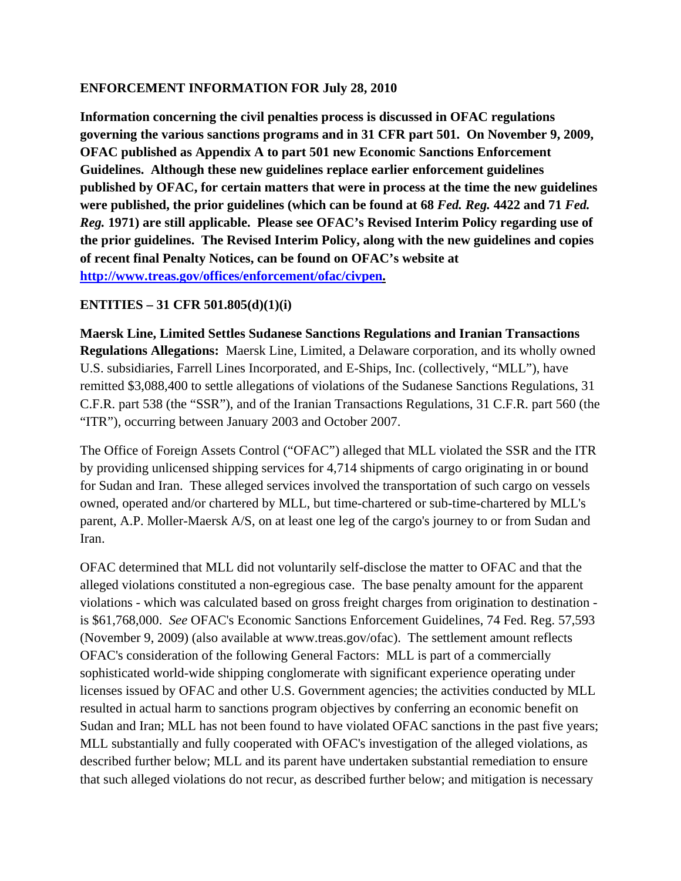## **ENFORCEMENT INFORMATION FOR July 28, 2010**

**Information concerning the civil penalties process is discussed in OFAC regulations governing the various sanctions programs and in 31 CFR part 501. On November 9, 2009, OFAC published as Appendix A to part 501 new Economic Sanctions Enforcement Guidelines. Although these new guidelines replace earlier enforcement guidelines published by OFAC, for certain matters that were in process at the time the new guidelines were published, the prior guidelines (which can be found at 68** *Fed. Reg.* **4422 and 71** *Fed. Reg.* **1971) are still applicable. Please see OFAC's Revised Interim Policy regarding use of the prior guidelines. The Revised Interim Policy, along with the new guidelines and copies of recent final Penalty Notices, can be found on OFAC's website at [http://www.treas.gov/offices/enforcement/ofac/civpen.](http://www.treas.gov/offices/enforcement/ofac/civpen)**

## **ENTITIES – 31 CFR 501.805(d)(1)(i)**

**Maersk Line, Limited Settles Sudanese Sanctions Regulations and Iranian Transactions Regulations Allegations:** Maersk Line, Limited, a Delaware corporation, and its wholly owned U.S. subsidiaries, Farrell Lines Incorporated, and E-Ships, Inc. (collectively, "MLL"), have remitted \$3,088,400 to settle allegations of violations of the Sudanese Sanctions Regulations, 31 C.F.R. part 538 (the "SSR"), and of the Iranian Transactions Regulations, 31 C.F.R. part 560 (the "ITR"), occurring between January 2003 and October 2007.

The Office of Foreign Assets Control ("OFAC") alleged that MLL violated the SSR and the ITR by providing unlicensed shipping services for 4,714 shipments of cargo originating in or bound for Sudan and Iran. These alleged services involved the transportation of such cargo on vessels owned, operated and/or chartered by MLL, but time-chartered or sub-time-chartered by MLL's parent, A.P. Moller-Maersk A/S, on at least one leg of the cargo's journey to or from Sudan and Iran.

OFAC determined that MLL did not voluntarily self-disclose the matter to OFAC and that the alleged violations constituted a non-egregious case. The base penalty amount for the apparent violations - which was calculated based on gross freight charges from origination to destination is \$61,768,000. *See* OFAC's Economic Sanctions Enforcement Guidelines, 74 Fed. Reg. 57,593 (November 9, 2009) (also available at www.treas.gov/ofac). The settlement amount reflects OFAC's consideration of the following General Factors: MLL is part of a commercially sophisticated world-wide shipping conglomerate with significant experience operating under licenses issued by OFAC and other U.S. Government agencies; the activities conducted by MLL resulted in actual harm to sanctions program objectives by conferring an economic benefit on Sudan and Iran; MLL has not been found to have violated OFAC sanctions in the past five years; MLL substantially and fully cooperated with OFAC's investigation of the alleged violations, as described further below; MLL and its parent have undertaken substantial remediation to ensure that such alleged violations do not recur, as described further below; and mitigation is necessary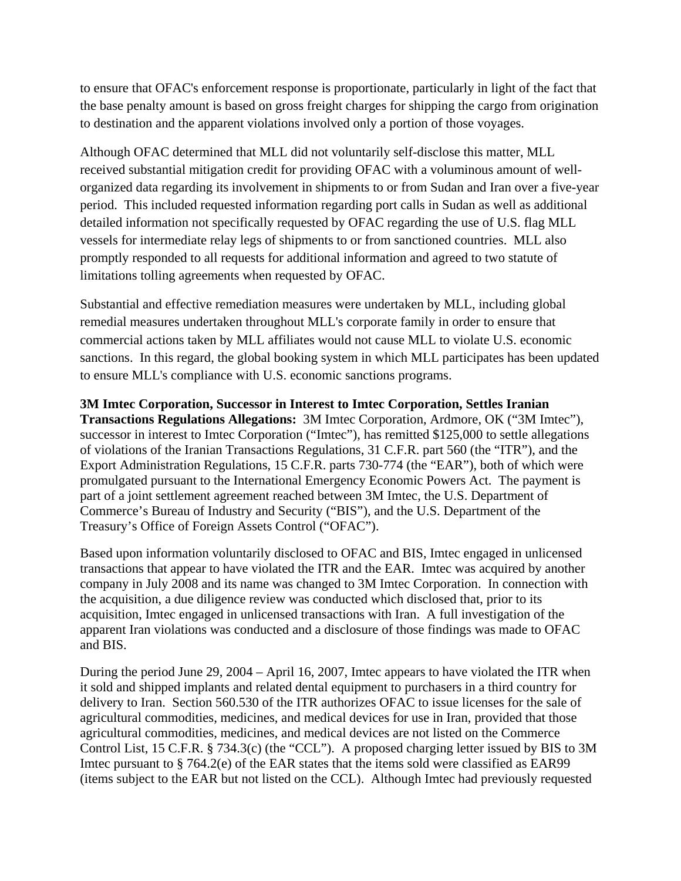to ensure that OFAC's enforcement response is proportionate, particularly in light of the fact that the base penalty amount is based on gross freight charges for shipping the cargo from origination to destination and the apparent violations involved only a portion of those voyages.

Although OFAC determined that MLL did not voluntarily self-disclose this matter, MLL received substantial mitigation credit for providing OFAC with a voluminous amount of wellorganized data regarding its involvement in shipments to or from Sudan and Iran over a five-year period. This included requested information regarding port calls in Sudan as well as additional detailed information not specifically requested by OFAC regarding the use of U.S. flag MLL vessels for intermediate relay legs of shipments to or from sanctioned countries. MLL also promptly responded to all requests for additional information and agreed to two statute of limitations tolling agreements when requested by OFAC.

Substantial and effective remediation measures were undertaken by MLL, including global remedial measures undertaken throughout MLL's corporate family in order to ensure that commercial actions taken by MLL affiliates would not cause MLL to violate U.S. economic sanctions. In this regard, the global booking system in which MLL participates has been updated to ensure MLL's compliance with U.S. economic sanctions programs.

**3M Imtec Corporation, Successor in Interest to Imtec Corporation, Settles Iranian Transactions Regulations Allegations:** 3M Imtec Corporation, Ardmore, OK ("3M Imtec"), successor in interest to Imtec Corporation ("Imtec"), has remitted \$125,000 to settle allegations of violations of the Iranian Transactions Regulations, 31 C.F.R. part 560 (the "ITR"), and the Export Administration Regulations, 15 C.F.R. parts 730-774 (the "EAR"), both of which were promulgated pursuant to the International Emergency Economic Powers Act. The payment is part of a joint settlement agreement reached between 3M Imtec, the U.S. Department of Commerce's Bureau of Industry and Security ("BIS"), and the U.S. Department of the Treasury's Office of Foreign Assets Control ("OFAC").

Based upon information voluntarily disclosed to OFAC and BIS, Imtec engaged in unlicensed transactions that appear to have violated the ITR and the EAR. Imtec was acquired by another company in July 2008 and its name was changed to 3M Imtec Corporation. In connection with the acquisition, a due diligence review was conducted which disclosed that, prior to its acquisition, Imtec engaged in unlicensed transactions with Iran. A full investigation of the apparent Iran violations was conducted and a disclosure of those findings was made to OFAC and BIS.

During the period June 29, 2004 – April 16, 2007, Imtec appears to have violated the ITR when it sold and shipped implants and related dental equipment to purchasers in a third country for delivery to Iran. Section 560.530 of the ITR authorizes OFAC to issue licenses for the sale of agricultural commodities, medicines, and medical devices for use in Iran, provided that those agricultural commodities, medicines, and medical devices are not listed on the Commerce Control List, 15 C.F.R. § 734.3(c) (the "CCL"). A proposed charging letter issued by BIS to 3M Imtec pursuant to § 764.2(e) of the EAR states that the items sold were classified as EAR99 (items subject to the EAR but not listed on the CCL). Although Imtec had previously requested